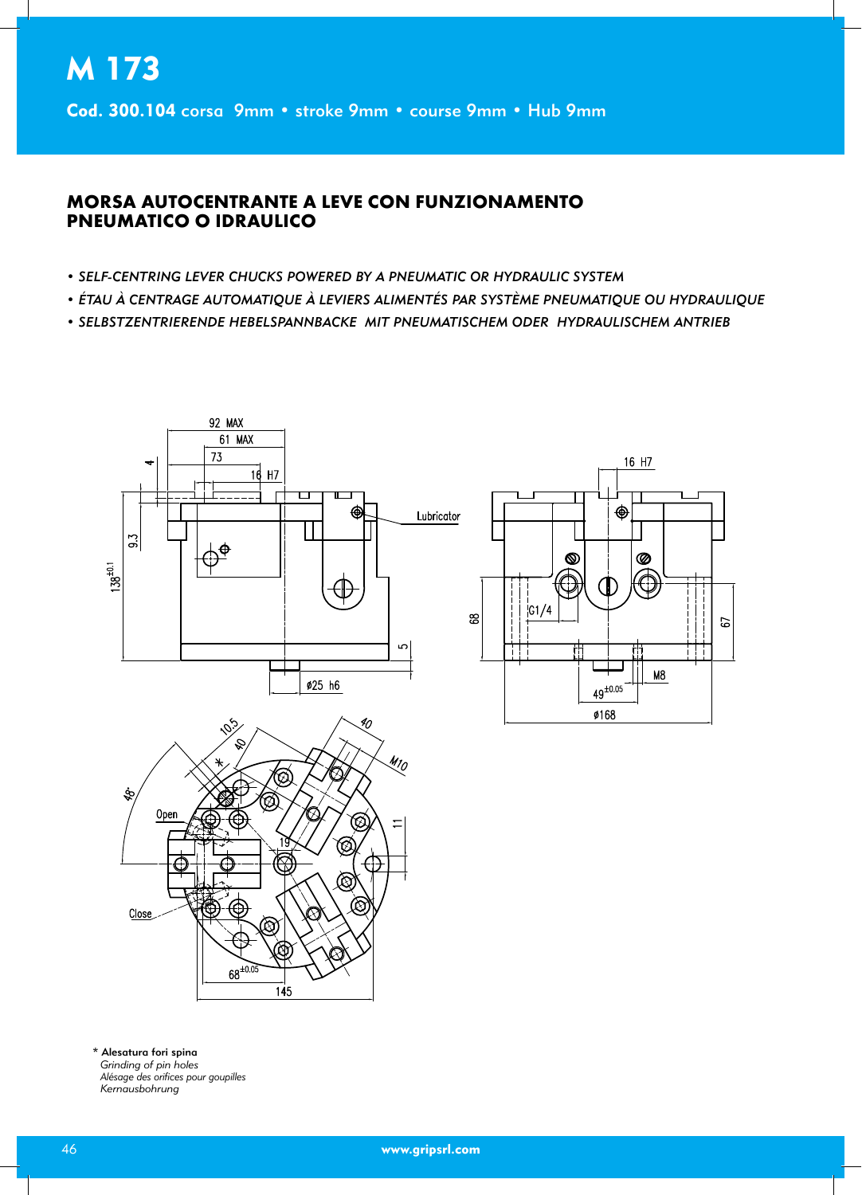## **MORSA AUTOCENTRANTE A LEVE CON FUNZIONAMENTO PNEUMATICO O IDRAULICO**

- SELF-CENTRING LEVER CHUCKS POWERED BY A PNEUMATIC OR HYDRAULIC SYSTEM
- ÉTAU À CENTRAGE AUTOMATIQUE À LEVIERS ALIMENTÉS PAR SYSTÈME PNEUMATIQUE OU HYDRAULIQUE
- SELBSTZENTRIERENDE HEBELSPANNBACKE MIT PNEUMATISCHEM ODER HYDRAULISCHEM ANTRIEB



\* Alesatura fori spina Grinding of pin holes Alésage des orifices pour goupilles Kernausbohrung